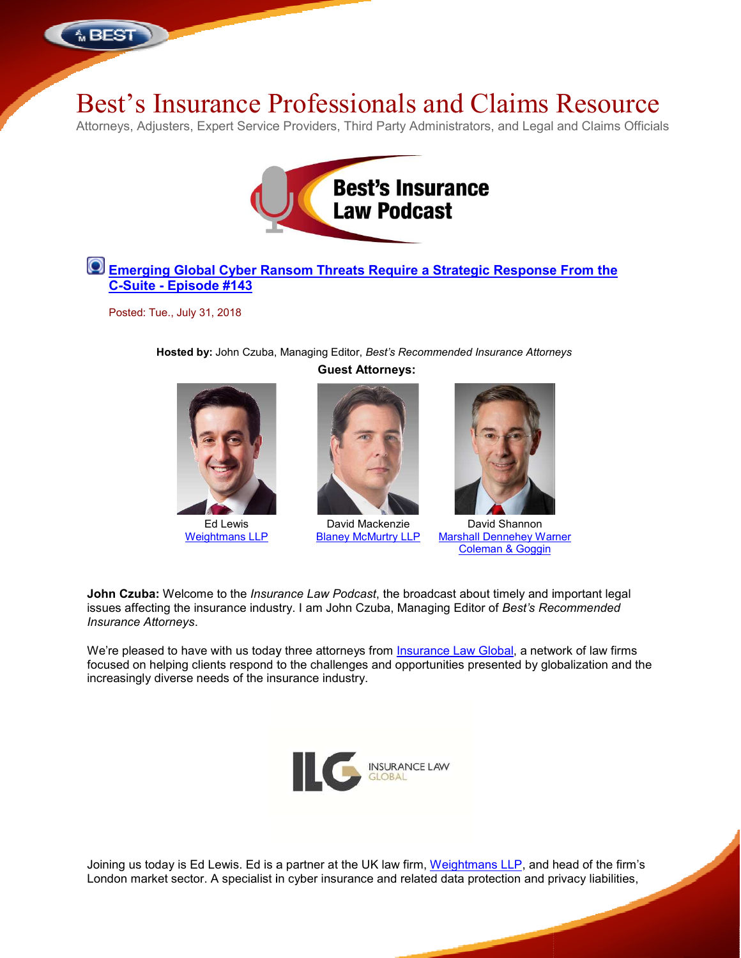

# Best's Insurance Professionals Professionals and Claims

Attorneys, Adjusters, Expert Service Providers, Third Party Administrators, and Legal and Claims Officials



## **Emerging Global Cyber Ransom Threats Require a Strategic Response From the C-Suite - Episode #143**

Posted: Tue., July 31, 2018

**Hosted by:** John Czuba, Czuba, Managing Editor, *Best's Recommended Insurance Attorneys* **Guest Attorneys:**



Ed Lewis Weightmans LLP



David Mackenzie Blaney McMurtry LLP



David Shannon Marshall Dennehey Warner Marshall Coleman & Goggin

**John Czuba:** Welcome to the *Insurance Law Podcast*, the broadcast about timely and important legal issues affecting the insurance industry. I am John Czuba, Managing Editor of Best's Recommended *Insurance Attorneys*.

We're pleased to have with us today three attorneys from <u>Insurance Law Global</u>, a network of law firms focused on helping clients respond to the challenges and opportunities presented by globalization and the increasingly diverse needs of the insurance industry. used on helping clients respond to the challenges and opportunities presented by globalization and the reasingly diverse needs of the insurance industry.<br>
NSURANCE LAW GLOBAL<br>
NSURANCE LAW GLOBAL<br>
NSURANCE LAW GLOBAL , a network of law firms<br>d by globalization and th<br>P, and head of the firm's



Joining us today is Ed Lewis. Ed is a partner at the UK law firm, Weightmans LLP, and head of the firm's London market sector. A specialist in cyber insurance and related data protection and privacy liabilities,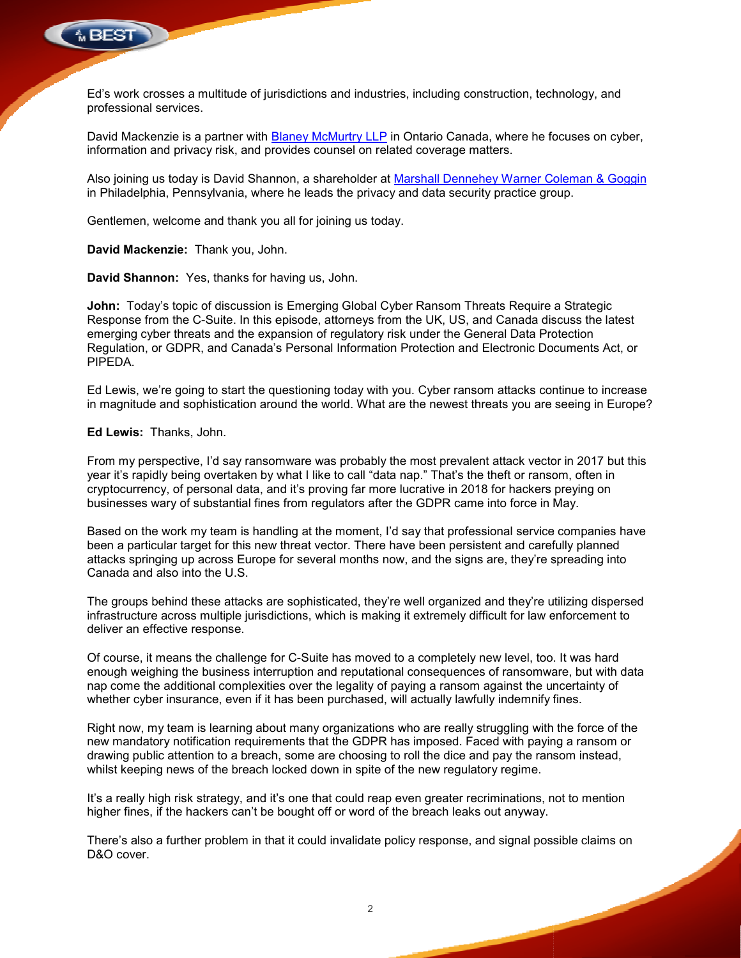

Ed's work crosses a multitude of jurisdictions and industries, including construction, technology, and s professional services.

David Mackenzie is a partner with <u>Blaney McMurtry LLP</u> in Ontario Canada, where he focuses on cyber, information and privacy risk, and provides counsel on related coverage matters. David Mackenzie is a partner with <mark>Blaney McMurtry LLP</mark> in Ontario Canada, where he focuses on cyber,<br>information and privacy risk, and provides counsel on related coverage matters.<br>Also joining us today is David Shannon,

in Philadelphia, Pennsylvania, where he leads the privacy and data security practice group.

Gentlemen, welcome and thank you all for joining us today.

**David Mackenzie:** Thank you, John.

**David Shannon:** Yes, thanks for having us, John.

**John:** Today's topic of discussion is Emerging Global Cyber Ransom Threats Require a Strategic Response from the C-Suite. In this episode, attorneys from the UK, US, and Canada discuss the latest emerging cyber threats and the expansion of regulatory risk under the General Data Protection Regulation, or GDPR, and Canada's Personal Information Protection and Electronic Documents Act, or PIPEDA. n, welcome and thank you all for joining us today.<br> **ckenzie:** Thank you, John.<br> **annon:** Yes, thanks for having us, John.<br>
day's topic of discussion is Emerging Global Cyber Ransom Threats Require a Strategic<br>
from the C-

Ed Lewis, we're going to start the questioning today with you. Cyber ransom attacks continue to increase Ed Lewis, we're going to start the questioning today with you. Cyber ransom attacks continue to increase<br>in magnitude and sophistication around the world. What are the newest threats you are seeing in Europe?

### **Ed Lewis:** Thanks, John.

From my perspective, I'd say ransomware was probably the most prevalent attack vector in 2017 but this From my perspective, I'd say ransomware was probably the most prevalent attack vector in 2017 but th<br>year it's rapidly being overtaken by what I like to call "data nap." That's the theft or ransom, often in cryptocurrency, of personal data, and it's proving far more lucrative in 2018 for hackers preying on businesses wary of substantial fines from regulators after the GDPR came into force in May. year it's rapidly being overtaken by what I like to call "data nap." That's the theft or ransom, often in<br>cryptocurrency, of personal data, and it's proving far more lucrative in 2018 for hackers preying on<br>businesses wary

been a particular target for this new threat vector. There have been persistent and carefully planned been a particular target for this new threat vector. There have been persistent and carefully planned<br>attacks springing up across Europe for several months now, and the signs are, they're spreading into Canada and also into the U.S.

The groups behind these attacks are sophisticated, they're well organized and they're utilizing dispersed infrastructure across multiple jurisdictions, which is making it extremely difficult for law enforcement to deliver an effective response. infrastructure across multiple jurisdictions, which is making it extremely difficult for law enforcement to<br>deliver an effective response.<br>Of course, it means the challenge for C-Suite has moved to a completely new level,

enough weighing the business interruption and reputational consequences of ransomware, but with data enough weighing the business interruption and reputational consequences of ransomware, but with data<br>nap come the additional complexities over the legality of paying a ransom against the uncertainty of whether cyber insurance, even if it has been purchased, will actually lawfully indemnify fines.

Right now, my team is learning about many organizations who are really struggling with the force of the whether cyber insurance, even if it has been purchased, will actually lawfully indemnify fines.<br>Right now, my team is learning about many organizations who are really struggling with the force of the<br>new mandatory notifica drawing public attention to a breach, some are choosing to roll the dice and pay the ransom instead, whilst keeping news of the breach locked down in spite of the new regulatory regime. drawing public attention to a breach, some are choosing to roll the dice and pay the ransom instead,<br>whilst keeping news of the breach locked down in spite of the new regulatory regime.<br>It's a really high risk strategy, an for several months now, and the signs are, they're spreading into<br>e sophisticated, they're well organized and they're utilizing dispersed<br>ctions, which is making it extremely difficult for law enforcement to<br>or C-Suite has

higher fines, if the hackers can't be bought off or word of the breach leaks out anyway.

higher fines, if the hackers can't be bought off or word of the breach leaks out anyway.<br>There's also a further problem in that it could invalidate policy response, and signal possible claims on D&O cover.

 $\mathfrak{p}$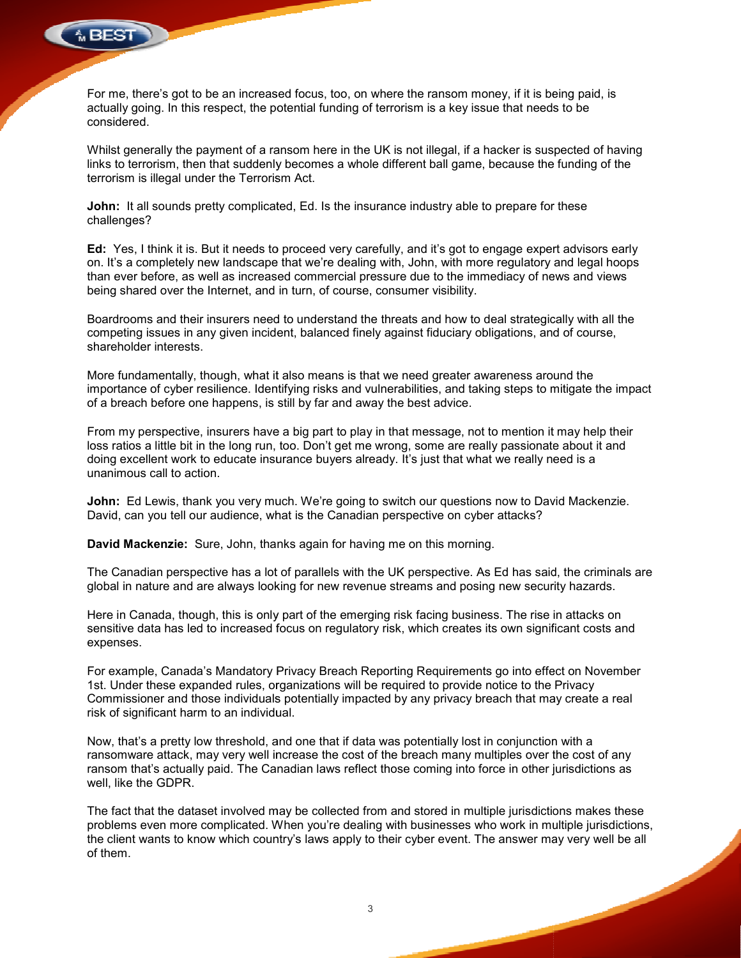

For me, there's got to be an increased focus, too, on where the ransom money, if it is being paid, is actually going. In this respect, the potential funding of terrorism is a key issue that needs to be considered. For me, there's got to be an increased focus, too, on where the ransom money, if it is being paid, is<br>actually going. In this respect, the potential funding of terrorism is a key issue that needs to be<br>considered.<br>Whilst g

Whilst generally the payment of a ransom here in the UK is not illegal, if a hacker is suspected of having terrorism is illegal under the Terrorism Act.

**John:** It all sounds pretty complicated, Ed. Is the insurance industry able to prepare for these challenges? **John:** It all sounds pretty complicated, Ed. Is the insurance industry able to prepare for these<br>challenges?<br>Ed: Yes, I think it is. But it needs to proceed very carefully, and it's got to engage expert advisors early

on. It's a completely new landscape that we're dealing with, John, with more regulatory and legal hoops than ever before, as well as increased commercial pressure due to the immediacy of news and views being shared over the Internet, and in turn, of course, consumer visibility. s got to be an increased focus, too, on where the ransom money, if it is being paid, is<br>
In this respect, the potential funding of terrorism is a key issue that needs to be<br>
Ily the payment of a ransom here in the UK is no

Boardrooms and their insurers need to understand the threats and how to deal strategically with all the than ever before, as well as increased commercial pressure due to the immediacy of news and views<br>being shared over the Internet, and in turn, of course, consumer visibility.<br>Boardrooms and their insurers need to understan shareholder interests.

More fundamentally, though, what it also means is that we need greater awareness around the importance of cyber resilience. Identifying risks and vulnerabilities, and taking steps to mitigate the impact of a breach before one happens, is still by far and away the best advice.

From my perspective, insurers have a big part to play in that message, not to mention it may help their of a breach before one happens, is still by far and away the best advice.<br>From my perspective, insurers have a big part to play in that message, not to mention it may help their<br>loss ratios a little bit in the long run, to doing excellent work to educate insurance buyers already. It's just that what we really need is a unanimous call to action.

**John:** Ed Lewis, thank you very much. We're going to switch our questions now to David Mackenzie. David, can you tell our audience, what is the Canadian perspective on cyber attacks?

**David Mackenzie:** Sure, John, thanks again for having me on this morning.

The Canadian perspective has a lot of parallels with the UK perspective. As Ed has said, the criminals are global in nature and are always looking for new revenue streams and posing new security hazards. David, can you tell our audience, what is the Canadian perspective on cyber attacks?<br>David Mackenzie: Sure, John, thanks again for having me on this morning.<br>The Canadian perspective has a lot of parallels with the UK pers

Here in Canada, though, this is only part of the emerging risk facing business. The rise in attacks on sensitive data has led to increased focus on regulatory risk, which creates its own significant costs and expenses. Here in Canada, though, this is only part of the emerging risk facing business. The rise in attacks on<br>sensitive data has led to increased focus on regulatory risk, which creates its own significant costs and<br>expenses.<br>For

For example, Canada's Mandatory Privacy Breach Reporting Requirements go into effect on November 1st. Under these expanded rules, organizations will be required to provide notice to the Privacy risk of significant harm to an individual. be a simulate the burgon and by part of play in that message, not to mention it may help their<br>a little bit in the long run, too. Don't get me wrong, some are really passionate about it and<br>ellent work to educate insurance

Now, that's a pretty low threshold, and one that if data was potentially lost in conjunction with a ransomware attack, may very well increase the cost of the breach many multiples over the cost of any ransom that's actually paid. The Canadian laws reflect those coming into force in other jurisdictions as well, like the GDPR. risk of significant harm to an individual.<br>Now, that's a pretty low threshold, and one that if data was potentially lost in conjunction with a<br>ransomware attack, may very well increase the cost of the breach many multiples

The fact that the dataset involved may be collected from and stored in multiple jurisdictions makes these problems even more complicated. When you're dealing with businesses who work in multiple jurisdictions,<br>the client wants to know which country's laws apply to their cyber event. The answer may very well be all of them.

3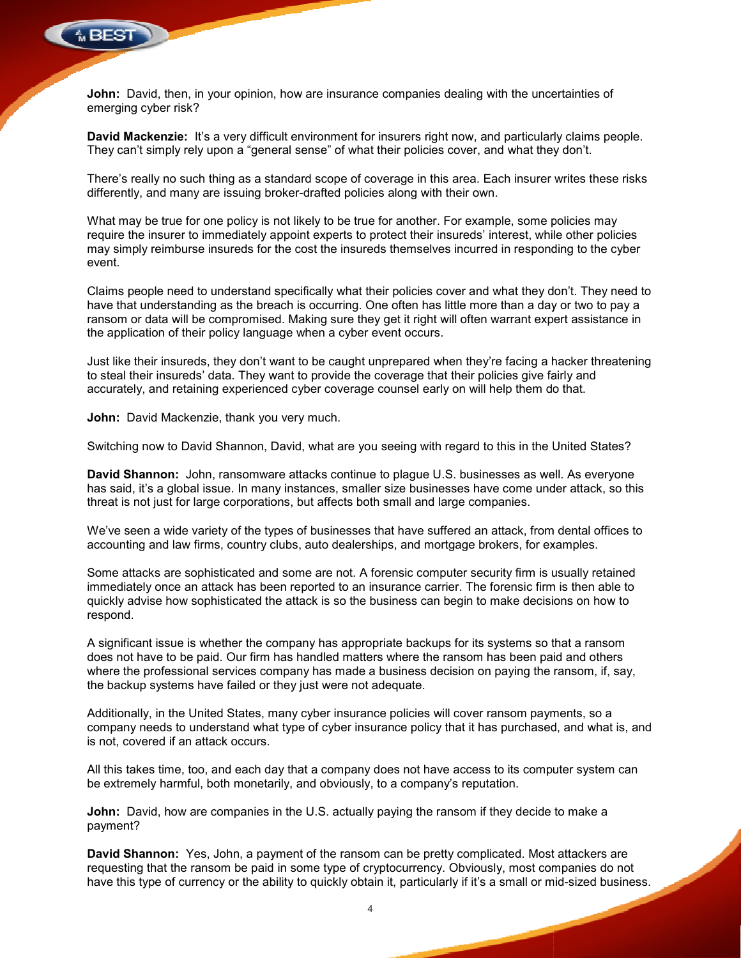

**John:** David, then, in your opinion, how are insurance companies dealing with the uncertainties of emerging cyber risk?

David Mackenzie: It's a very difficult environment for insurers right now, and particularly claims people. They can't simply rely upon a "general sense" of what their policies cover, and what they don't.

There's really no such thing as a standard scope of coverage in this area. Each insurer writes these risks There's really no such thing as a standard scope of coverage in this area. Each insure<br>differently, and many are issuing broker-drafted policies along with their own.

What may be true for one policy is not likely to be true for another. For example, some policies may require the insurer to immediately appoint experts to protect their insureds' interest, while other policies may simply reimburse insureds for the cost the insureds themselves incurred in responding to the cyb event. ue for another. For example, some policies may<br>o protect their insureds' interest, while other policies<br>ireds themselves incurred in responding to the cyber

Claims people need to understand specifically what their policies cover and what they don have that understanding as the breach is occurring. One often has little more than a day or two to pay a ransom or data will be compromised. Making sure they get it right will often warrant expert assistance in the application of their policy language when a cyber event occurs. ingly reimburse insureds for the cost the insureds themselves incurred in responding to the cyber<br>people need to understand specifically what their policies cover and what they don't. They need to<br>at understanding as the b don't. They need to

the application of their policy language when a cyber event occurs.<br>Just like their insureds, they don't want to be caught unprepared when they're facing a hacker threatening to steal their insureds' data. They want to provide the coverage that their policies give fairly and accurately, and retaining experienced cyber coverage counsel early on will help them do that. ureds' data. They want to provide the coverage that their policies give fairly and<br>retaining experienced cyber coverage counsel early on will help them do that.<br>ackenzie, thank you very much.<br>o David Shannon, David, what a om or data will be compromised. Making sure they get it right will often warrant expert assis<br>application of their policy language when a cyber event occurs.<br>
I like their insureds, they don't want to be caught unprepared

**John:** David Mackenzie, thank you very much.

Switching now to David Shannon, David, what are you seeing with regard to this in the United States?

**David Shannon:** John, ransomware attacks continue to plague U.S. businesses as well. As everyone has said, it's a global issue. In many instances, smaller size businesses have come under attack, so this threat is not just for large corporations, but affects both small and large companies.

We've seen a wide variety of the types of businesses that have suffered an attack, from dental offices to threat is not just for large corporations, but affects both small and large companies.<br>We've seen a wide variety of the types of businesses that have suffered an attack, from dental c<br>accounting and law firms, country club

Some attacks are sophisticated and some are not. A forensic computer security firm is usually retained immediately once an attack has been reported to an insurance carrier. The forensic firm is then able to quickly advise how sophisticated the attack is so the business can begin to make decisions on how to respond. Some attacks are sophisticated and some are not. A forensic computer security firm is usually retained immediately once an attack has been reported to an insurance carrier. The forensic firm is then able quickly advise how

A significant issue is whether the company has appropriate backups for its systems so that a ransom does not have to be paid. Our firm has handled matters where the ransom has been paid and others where the professional services company has made a business decision on paying the ransom, if, say, the backup systems have failed or they just were not adequate.

Additionally, in the United States, many cyber insurance policies will cover ransom payments, so a company needs to understand what type of cyber insurance policy that it has purchased, and what is, and is not, covered if an attack occurs. hally, in the United States, many cyber insurance policies will cover ransom payments, so a<br>hy needs to understand what type of cyber insurance policy that it has purchased, and what is, and<br>covered if an attack occurs.<br>ta

All this takes time, too, and each day that a company does not have access to its computer system can be extremely harmful, both monetarily, and obviously, to a company harmful, to a company's reputation.

**John:** David, how are companies in the U.S. actually paying the ransom if they decide to make a payment?

**David Shannon:** Yes, John, a payment of the ransom can be pretty complicated. Most attackers are requesting that the ransom be paid in some type of cryptocurrency. Obviously, most companies do not **John:** David, how are companies in the U.S. actually paying the ransom if they decide to make a<br>payment?<br>**David Shannon:** Yes, John, a payment of the ransom can be pretty complicated. Most attackers are<br>requesting that th iatters where the ransom has been paid and others<br>de a business decision on paying the ransom, if, say,<br>not adequate.<br>urance policies will cover ransom payments, so a<br>insurance policy that it has purchased, and what is, an

4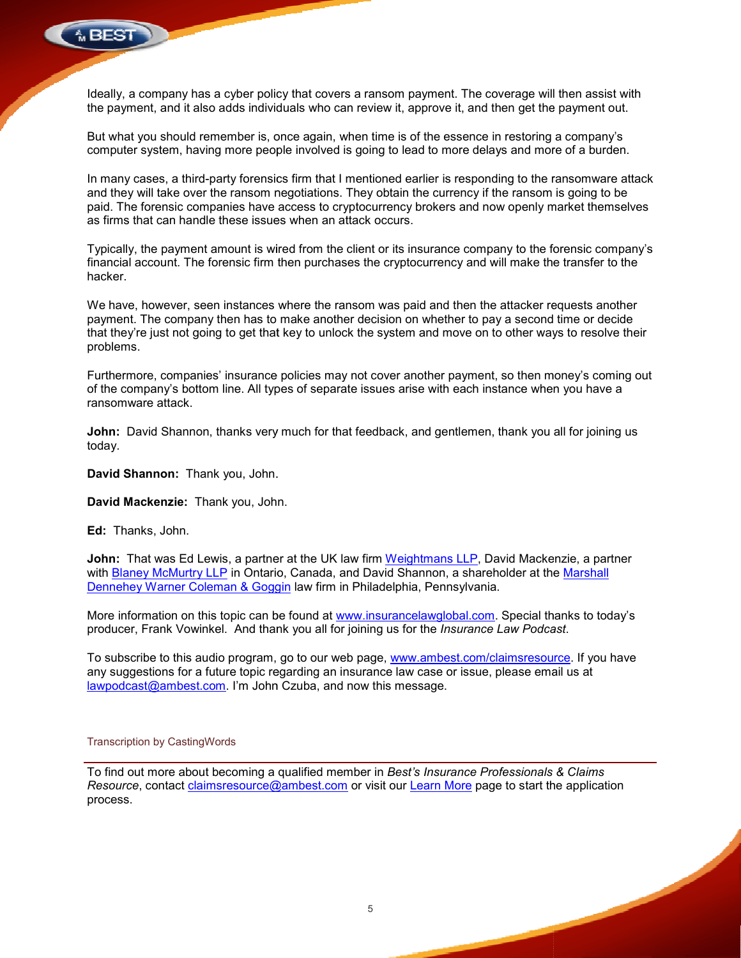

Ideally, a company has a cyber policy that covers a ransom payment. The coverage will then assist with<br>the payment, and it also adds individuals who can review it, approve it, and then get the payment out. the payment, and it also adds individuals who can review it, approve it, and then get the payment out.

But what you should remember is, once again, when time is of the essence in restoring a company's<br>computer system, having more people involved is going to lead to more delays and more of a burden. computer system, having more people involved is going to lead to more delays and more of a burden.

In many cases, a third-party forensics firm that I mentioned earlier is responding to the ransomware attack and they will take over the ransom negotiations. They obtain the currency if the ransom is going to be paid. The forensic companies have access to cryptocurrency brokers and now openly market themselves as firms that can handle these issues when an attack occurs. responding to the ransomware attack<br>ency if the ransom is going to be<br>and now openly market themselves<br>e company to the forensic company's

Typically, the payment amount is wired from the client or its insurance company to the forensic company financial account. The forensic firm then purchases the cryptocurrency and will make the transfer to the hacker. and they will take over the ransom negotiations. They obtain the currency if the ransom is going to be<br>paid. The forensic companies have access to cryptocurrency brokers and now openly market themselves<br>as firms that can h

We have, however, seen instances where the ransom was paid and then the attacker requests another payment. The company then has to make another decision on whether to pay a second time or decide that they're just not going to get that key to unlock the system and move on to other ways to resolve their problems.

Furthermore, companies' insurance policies may not cover another payment, so then money's coming out of the company's bottom line. All types of separate issues arise with each instance when you have a ransomware attack. mpanies' insurance policies may not cover another payment, so then money's coming<br>s bottom line. All types of separate issues arise with each instance when you have a<br>ack.<br>nannon, thanks very much for that feedback, and ge

**John:** David Shannon, thanks very much for that feedback, and gentlemen, thank you all for joining us today.

**David Shannon:** Thank you, John.

**David Mackenzie:** Thank you, John.

**Ed:** Thanks, John.

**John:** That was Ed Lewis, a partner at the UK law firm <u>Weightmans LLP,</u> David Mackenzie, a partner with <u>Blaney McMurtry LLP</u> in Ontario, Canada, and David Shannon, a shareholder at the <u>Marshall</u><br><u>Dennehey Warner Coleman & Goggin</u> law firm in Philadelphia, Pennsylvania. Dennehey Warner Coleman & Goggin law firm in Philadelphia, Pennsylvania.

More information on this topic can be found at www.insurancelawglobal.com. Special thanks to today's producer, Frank Vowinkel. And thank you all for joining us for the *Insurance Law Podcast*.

To subscribe to this audio program, go to our web page, www.ambest.com/claimsresource. If you have any suggestions for a future topic regarding an insurance law case or issue, please email us at lawpodcast@ambest.com. I'm John Czuba, and now this message.

#### Transcription by CastingWords

<u>lawpodcast@ambest.com</u>. I'm John Czuba, and now this message.<br>Transcription by CastingWords<br>To find out more about becoming a qualified member in *Best's Insurance Professionals* & Clai*ms* Resource, contact **claimsresource@ambest.com** or visit our Learn More page to start the application process.